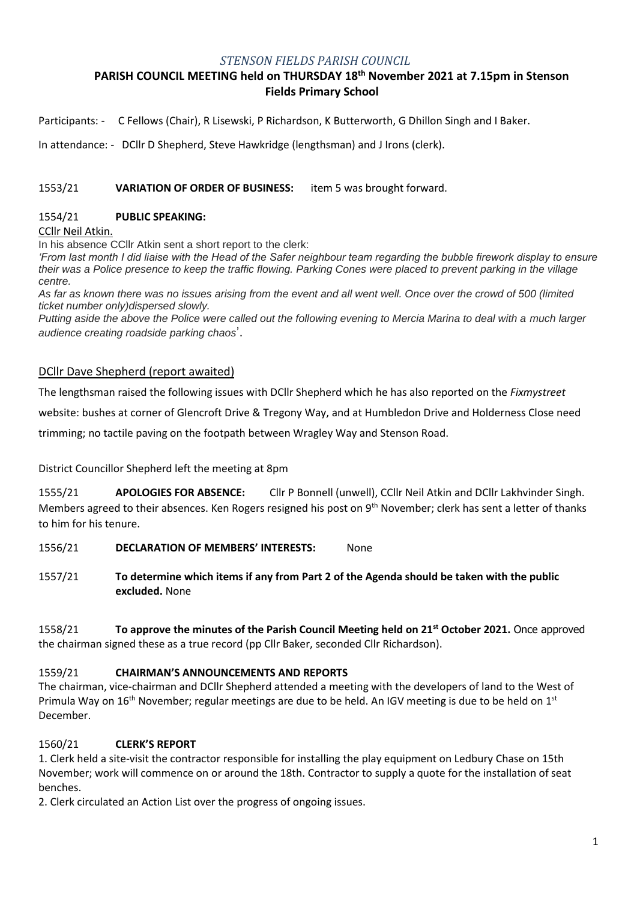#### *STENSON FIELDS PARISH COUNCIL*

# **PARISH COUNCIL MEETING held on THURSDAY 18th November 2021 at 7.15pm in Stenson Fields Primary School**

Participants: - C Fellows (Chair), R Lisewski, P Richardson, K Butterworth, G Dhillon Singh and I Baker.

In attendance: - DCllr D Shepherd, Steve Hawkridge (lengthsman) and J Irons (clerk).

### 1553/21 **VARIATION OF ORDER OF BUSINESS:** item 5 was brought forward.

#### 1554/21 **PUBLIC SPEAKING:**

CCllr Neil Atkin.

In his absence CCllr Atkin sent a short report to the clerk:

*'From last month I did liaise with the Head of the Safer neighbour team regarding the bubble firework display to ensure their was a Police presence to keep the traffic flowing. Parking Cones were placed to prevent parking in the village centre.*

*As far as known there was no issues arising from the event and all went well. Once over the crowd of 500 (limited ticket number only)dispersed slowly.*

*Putting aside the above the Police were called out the following evening to Mercia Marina to deal with a much larger audience creating roadside parking chaos*'.

## DCllr Dave Shepherd (report awaited)

The lengthsman raised the following issues with DCllr Shepherd which he has also reported on the *Fixmystreet*

website: bushes at corner of Glencroft Drive & Tregony Way, and at Humbledon Drive and Holderness Close need

trimming; no tactile paving on the footpath between Wragley Way and Stenson Road.

### District Councillor Shepherd left the meeting at 8pm

1555/21 **APOLOGIES FOR ABSENCE:** Cllr P Bonnell (unwell), CCllr Neil Atkin and DCllr Lakhvinder Singh. Members agreed to their absences. Ken Rogers resigned his post on  $9<sup>th</sup>$  November; clerk has sent a letter of thanks to him for his tenure.

1556/21 **DECLARATION OF MEMBERS' INTERESTS:** None

1557/21 **To determine which items if any from Part 2 of the Agenda should be taken with the public excluded.** None

1558/21 **To approve the minutes of the Parish Council Meeting held on 21st October 2021.** Once approved the chairman signed these as a true record (pp Cllr Baker, seconded Cllr Richardson).

### 1559/21 **CHAIRMAN'S ANNOUNCEMENTS AND REPORTS**

The chairman, vice-chairman and DCllr Shepherd attended a meeting with the developers of land to the West of Primula Way on 16<sup>th</sup> November; regular meetings are due to be held. An IGV meeting is due to be held on 1<sup>st</sup> December.

### 1560/21 **CLERK'S REPORT**

1. Clerk held a site-visit the contractor responsible for installing the play equipment on Ledbury Chase on 15th November; work will commence on or around the 18th. Contractor to supply a quote for the installation of seat benches.

2. Clerk circulated an Action List over the progress of ongoing issues.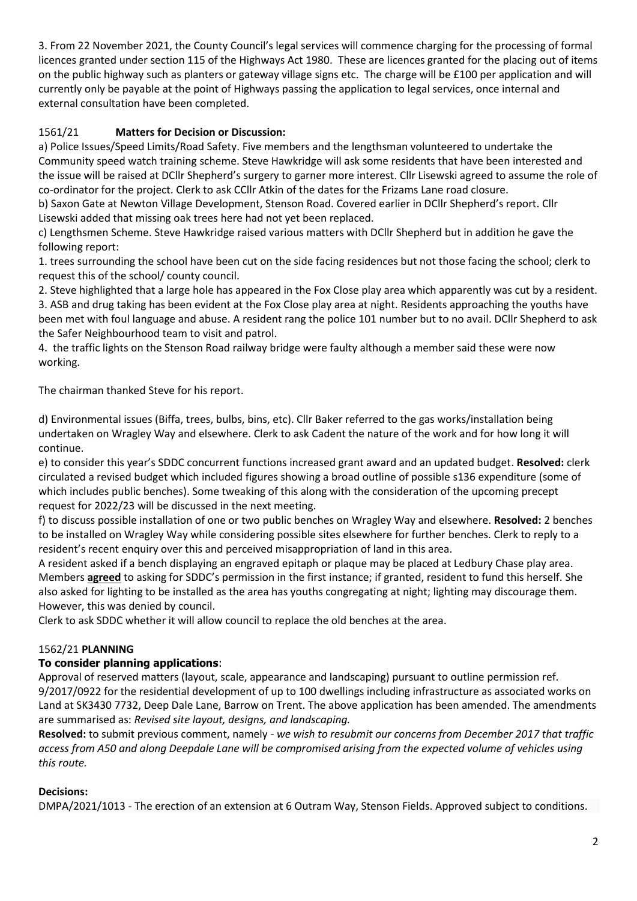3. From 22 November 2021, the County Council's legal services will commence charging for the processing of formal licences granted under section 115 of the Highways Act 1980. These are licences granted for the placing out of items on the public highway such as planters or gateway village signs etc. The charge will be £100 per application and will currently only be payable at the point of Highways passing the application to legal services, once internal and external consultation have been completed.

# 1561/21 **Matters for Decision or Discussion:**

a) Police Issues/Speed Limits/Road Safety. Five members and the lengthsman volunteered to undertake the Community speed watch training scheme. Steve Hawkridge will ask some residents that have been interested and the issue will be raised at DCllr Shepherd's surgery to garner more interest. Cllr Lisewski agreed to assume the role of co-ordinator for the project. Clerk to ask CCllr Atkin of the dates for the Frizams Lane road closure.

b) Saxon Gate at Newton Village Development, Stenson Road. Covered earlier in DCllr Shepherd's report. Cllr Lisewski added that missing oak trees here had not yet been replaced.

c) Lengthsmen Scheme. Steve Hawkridge raised various matters with DCllr Shepherd but in addition he gave the following report:

1. trees surrounding the school have been cut on the side facing residences but not those facing the school; clerk to request this of the school/ county council.

2. Steve highlighted that a large hole has appeared in the Fox Close play area which apparently was cut by a resident. 3. ASB and drug taking has been evident at the Fox Close play area at night. Residents approaching the youths have been met with foul language and abuse. A resident rang the police 101 number but to no avail. DCllr Shepherd to ask the Safer Neighbourhood team to visit and patrol.

4. the traffic lights on the Stenson Road railway bridge were faulty although a member said these were now working.

The chairman thanked Steve for his report.

d) Environmental issues (Biffa, trees, bulbs, bins, etc). Cllr Baker referred to the gas works/installation being undertaken on Wragley Way and elsewhere. Clerk to ask Cadent the nature of the work and for how long it will continue.

e) to consider this year's SDDC concurrent functions increased grant award and an updated budget. **Resolved:** clerk circulated a revised budget which included figures showing a broad outline of possible s136 expenditure (some of which includes public benches). Some tweaking of this along with the consideration of the upcoming precept request for 2022/23 will be discussed in the next meeting.

f) to discuss possible installation of one or two public benches on Wragley Way and elsewhere. **Resolved:** 2 benches to be installed on Wragley Way while considering possible sites elsewhere for further benches. Clerk to reply to a resident's recent enquiry over this and perceived misappropriation of land in this area.

A resident asked if a bench displaying an engraved epitaph or plaque may be placed at Ledbury Chase play area. Members **agreed** to asking for SDDC's permission in the first instance; if granted, resident to fund this herself. She also asked for lighting to be installed as the area has youths congregating at night; lighting may discourage them. However, this was denied by council.

Clerk to ask SDDC whether it will allow council to replace the old benches at the area.

### 1562/21 **PLANNING**

## **To consider planning applications**:

Approval of reserved matters (layout, scale, appearance and landscaping) pursuant to outline permission ref. 9/2017/0922 for the residential development of up to 100 dwellings including infrastructure as associated works on Land at SK3430 7732, Deep Dale Lane, Barrow on Trent. The above application has been amended. The amendments are summarised as: *Revised site layout, designs, and landscaping.* 

**Resolved:** to submit previous comment, namely - *we wish to resubmit our concerns from December 2017 that traffic access from A50 and along Deepdale Lane will be compromised arising from the expected volume of vehicles using this route.*

### **Decisions:**

DMPA/2021/1013 - The erection of an extension at 6 Outram Way, Stenson Fields. Approved subject to conditions.